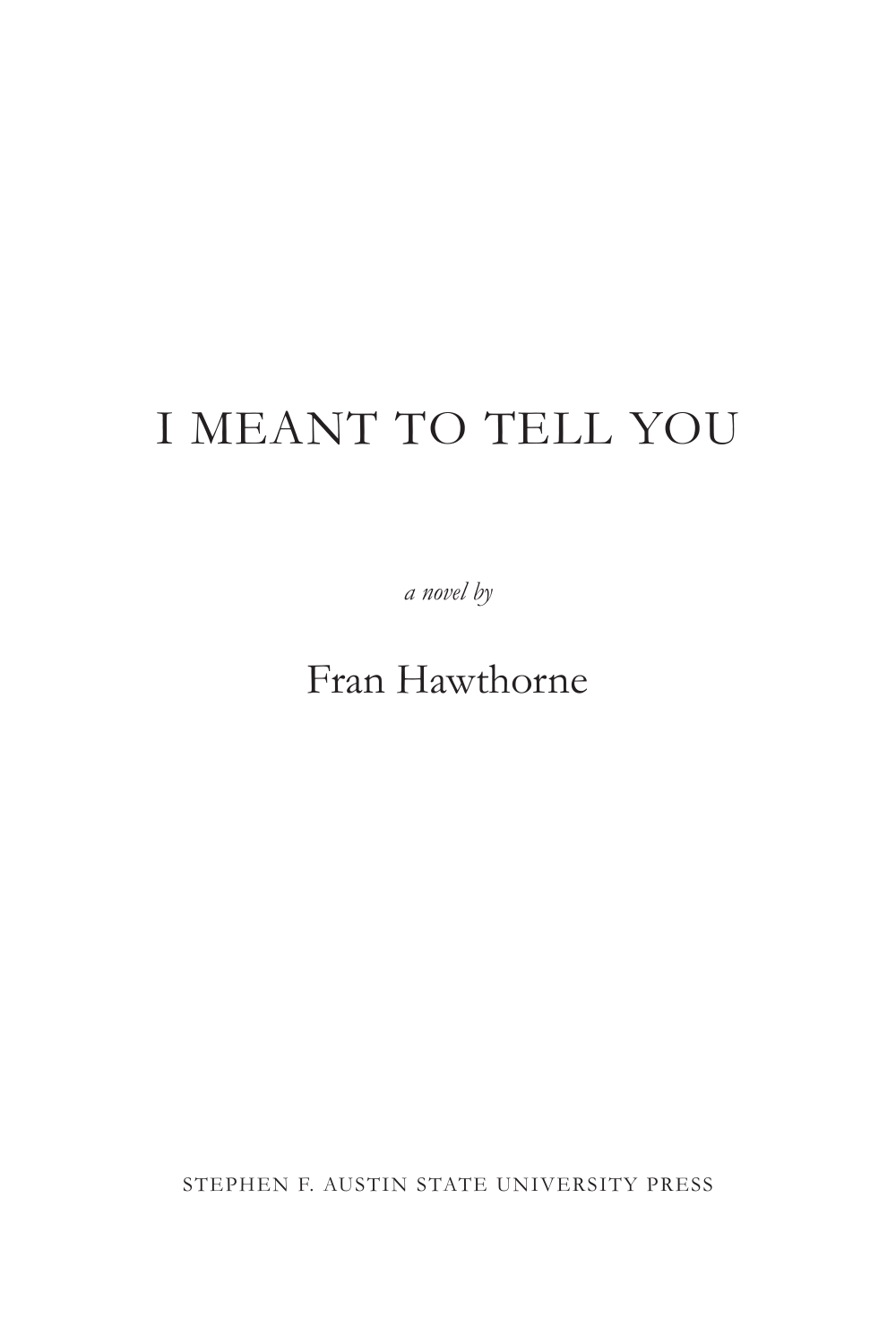## I MEANT TO TELL YOU

*a novel by*

Fran Hawthorne

STEPHEN F. AUSTIN STATE UNIVERSITY PRESS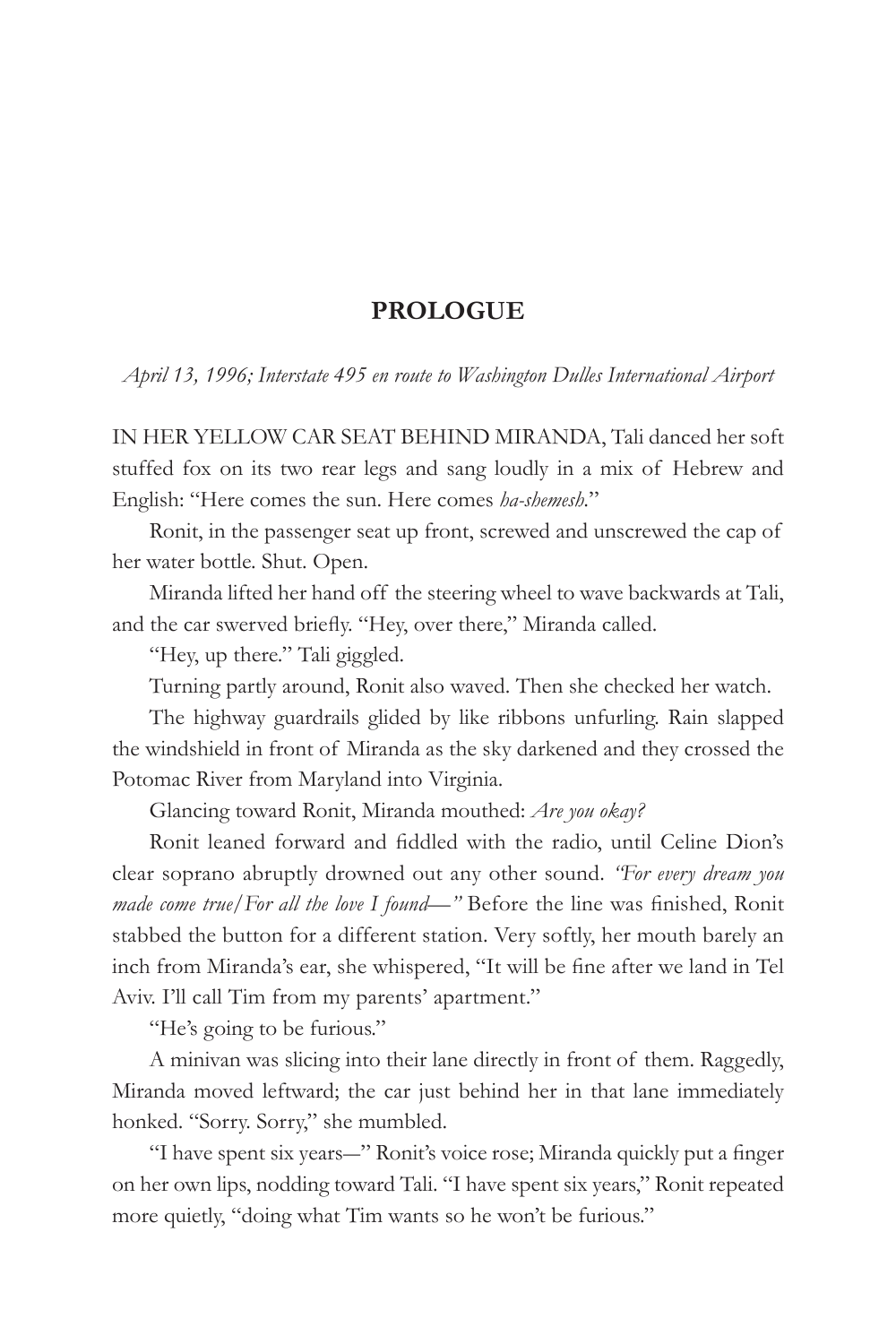## **PROLOGUE**

*April 13, 1996; Interstate 495 en route to Washington Dulles International Airport*

IN HER YELLOW CAR SEAT BEHIND MIRANDA, Tali danced her soft stuffed fox on its two rear legs and sang loudly in a mix of Hebrew and English: "Here comes the sun. Here comes *ha-shemesh.*"

Ronit, in the passenger seat up front, screwed and unscrewed the cap of her water bottle. Shut. Open.

Miranda lifted her hand off the steering wheel to wave backwards at Tali, and the car swerved briefly. "Hey, over there," Miranda called.

"Hey, up there." Tali giggled.

Turning partly around, Ronit also waved. Then she checked her watch.

The highway guardrails glided by like ribbons unfurling. Rain slapped the windshield in front of Miranda as the sky darkened and they crossed the Potomac River from Maryland into Virginia.

Glancing toward Ronit, Miranda mouthed: *Are you okay?*

Ronit leaned forward and fiddled with the radio, until Celine Dion's clear soprano abruptly drowned out any other sound. *"For every dream you made come true/For all the love I found*—*"* Before the line was finished, Ronit stabbed the button for a different station. Very softly, her mouth barely an inch from Miranda's ear, she whispered, "It will be fine after we land in Tel Aviv. I'll call Tim from my parents' apartment."

"He's going to be furious."

A minivan was slicing into their lane directly in front of them. Raggedly, Miranda moved leftward; the car just behind her in that lane immediately honked. "Sorry. Sorry," she mumbled.

"I have spent six years―" Ronit's voice rose; Miranda quickly put a finger on her own lips, nodding toward Tali. "I have spent six years," Ronit repeated more quietly, "doing what Tim wants so he won't be furious."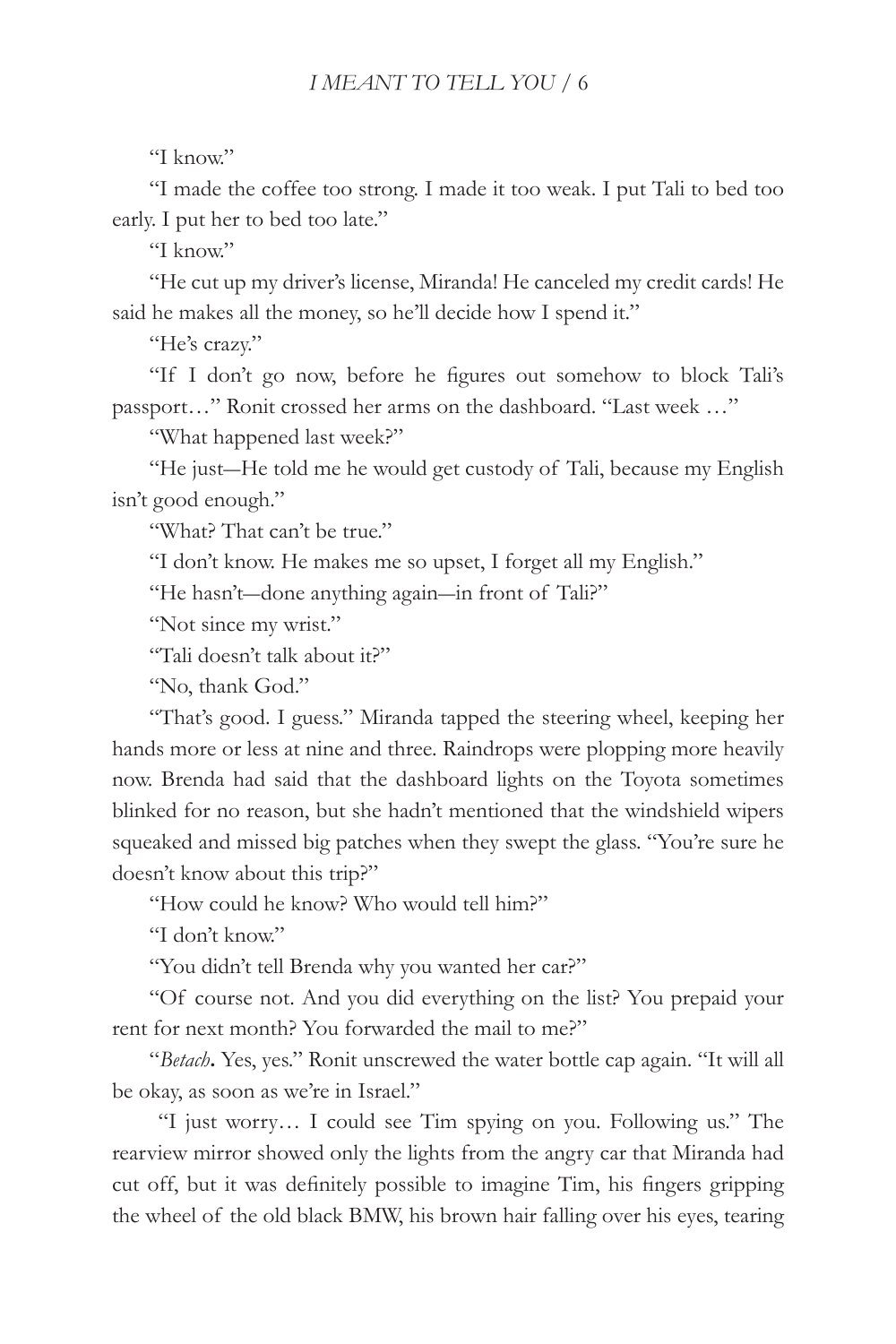"I know."

"I made the coffee too strong. I made it too weak. I put Tali to bed too early. I put her to bed too late."

"I know."

"He cut up my driver's license, Miranda! He canceled my credit cards! He said he makes all the money, so he'll decide how I spend it."

"He's crazy."

"If I don't go now, before he figures out somehow to block Tali's passport…" Ronit crossed her arms on the dashboard. "Last week …"

"What happened last week?"

"He just―He told me he would get custody of Tali, because my English isn't good enough."

"What? That can't be true."

"I don't know. He makes me so upset, I forget all my English."

"He hasn't―done anything again―in front of Tali?"

"Not since my wrist."

"Tali doesn't talk about it?"

"No, thank God."

"That's good. I guess." Miranda tapped the steering wheel, keeping her hands more or less at nine and three. Raindrops were plopping more heavily now. Brenda had said that the dashboard lights on the Toyota sometimes blinked for no reason, but she hadn't mentioned that the windshield wipers squeaked and missed big patches when they swept the glass. "You're sure he doesn't know about this trip?"

"How could he know? Who would tell him?"

"I don't know."

"You didn't tell Brenda why you wanted her car?"

"Of course not. And you did everything on the list? You prepaid your rent for next month? You forwarded the mail to me?"

"*Betach***.** Yes, yes." Ronit unscrewed the water bottle cap again. "It will all be okay, as soon as we're in Israel."

 "I just worry… I could see Tim spying on you. Following us." The rearview mirror showed only the lights from the angry car that Miranda had cut off, but it was definitely possible to imagine Tim, his fingers gripping the wheel of the old black BMW, his brown hair falling over his eyes, tearing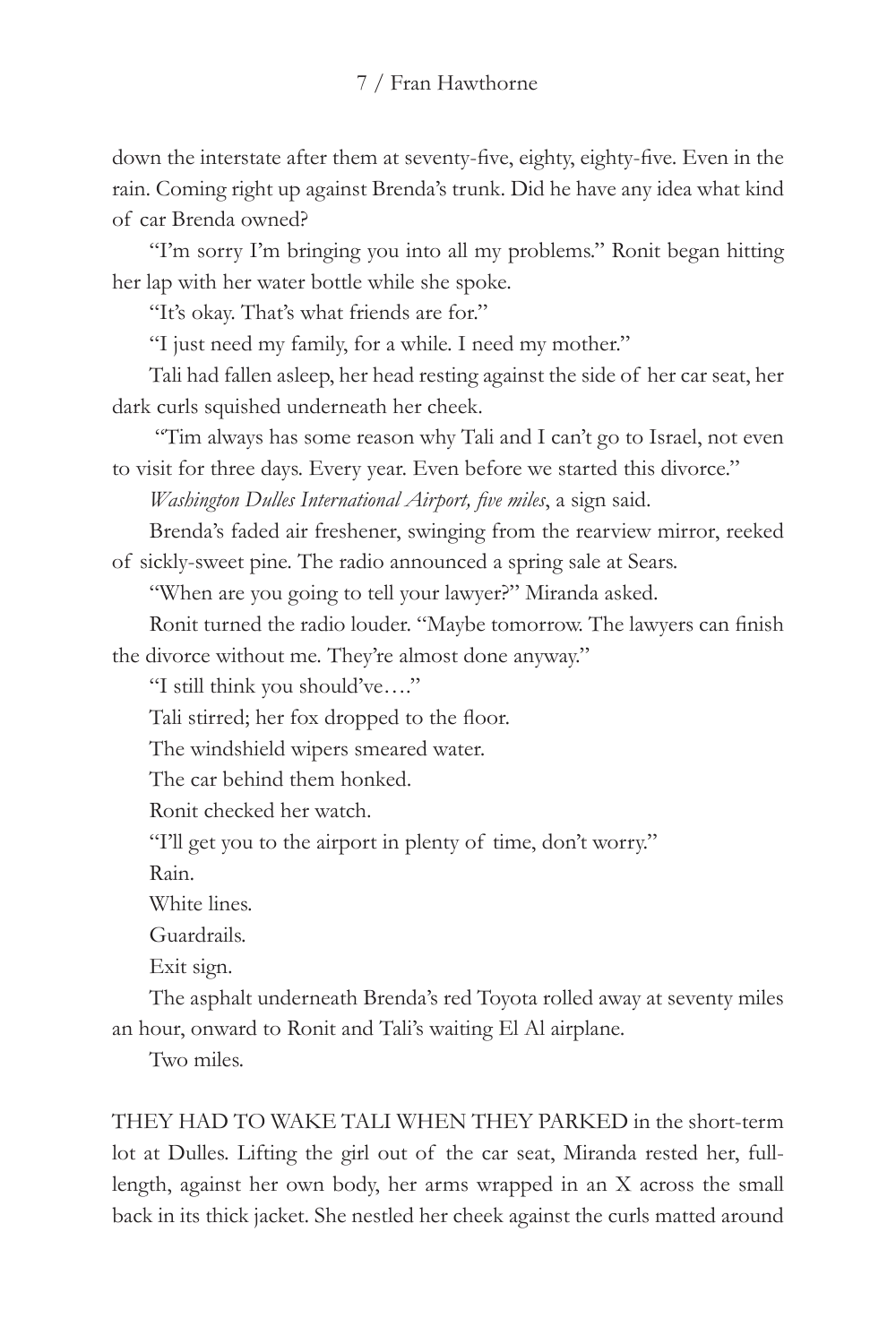down the interstate after them at seventy-five, eighty, eighty-five. Even in the rain. Coming right up against Brenda's trunk. Did he have any idea what kind of car Brenda owned?

"I'm sorry I'm bringing you into all my problems." Ronit began hitting her lap with her water bottle while she spoke.

"It's okay. That's what friends are for."

"I just need my family, for a while. I need my mother."

Tali had fallen asleep, her head resting against the side of her car seat, her dark curls squished underneath her cheek.

 "Tim always has some reason why Tali and I can't go to Israel, not even to visit for three days. Every year. Even before we started this divorce."

*Washington Dulles International Airport, five miles*, a sign said.

Brenda's faded air freshener, swinging from the rearview mirror, reeked of sickly-sweet pine. The radio announced a spring sale at Sears.

"When are you going to tell your lawyer?" Miranda asked.

Ronit turned the radio louder. "Maybe tomorrow. The lawyers can finish the divorce without me. They're almost done anyway."

"I still think you should've…."

Tali stirred; her fox dropped to the floor.

The windshield wipers smeared water.

The car behind them honked.

Ronit checked her watch.

"I'll get you to the airport in plenty of time, don't worry."

Rain.

White lines.

Guardrails.

Exit sign.

The asphalt underneath Brenda's red Toyota rolled away at seventy miles an hour, onward to Ronit and Tali's waiting El Al airplane.

Two miles.

THEY HAD TO WAKE TALI WHEN THEY PARKED in the short-term lot at Dulles. Lifting the girl out of the car seat, Miranda rested her, fulllength, against her own body, her arms wrapped in an X across the small back in its thick jacket. She nestled her cheek against the curls matted around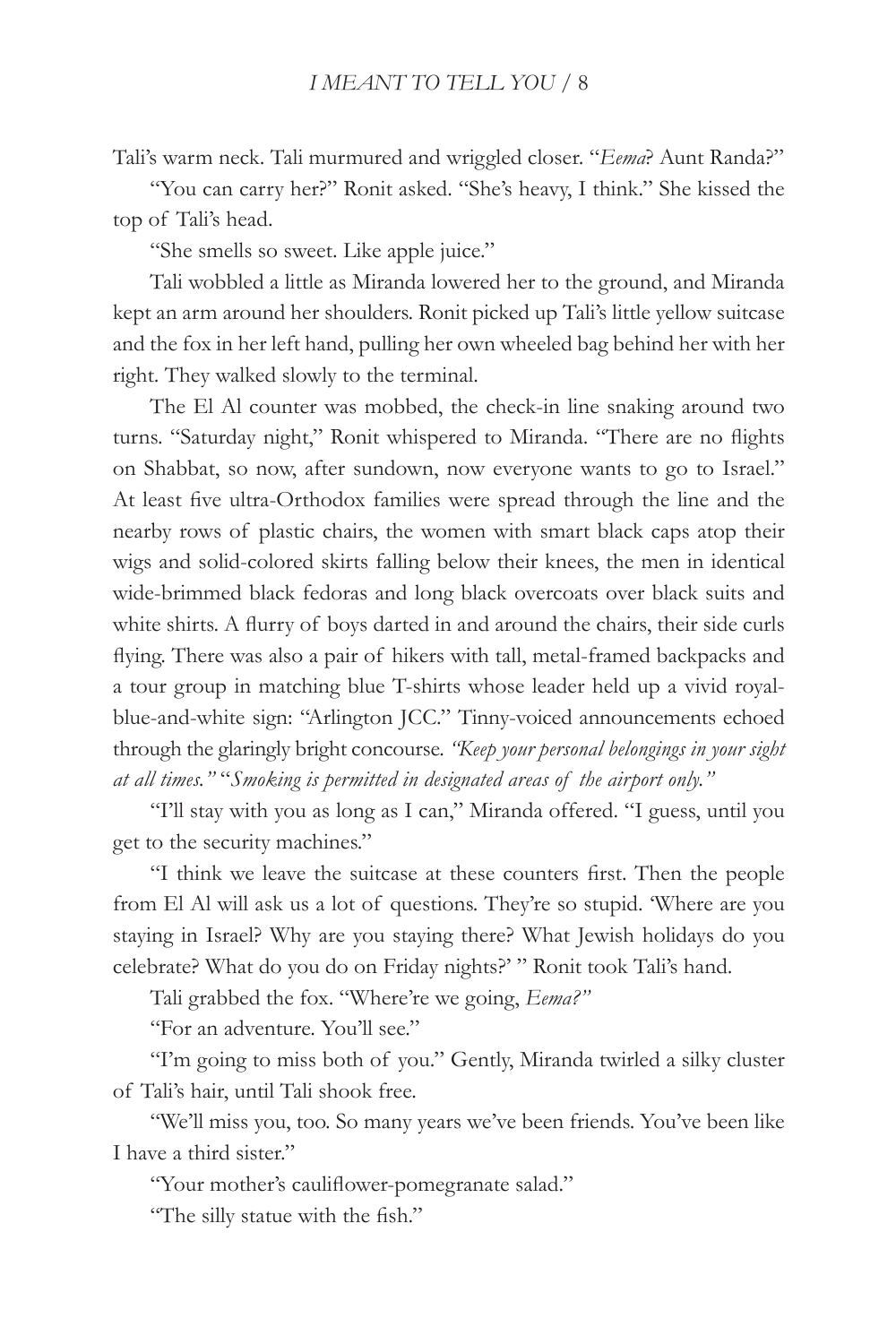Tali's warm neck. Tali murmured and wriggled closer. "*Eema*? Aunt Randa?"

"You can carry her?" Ronit asked. "She's heavy, I think." She kissed the top of Tali's head.

"She smells so sweet. Like apple juice."

Tali wobbled a little as Miranda lowered her to the ground, and Miranda kept an arm around her shoulders. Ronit picked up Tali's little yellow suitcase and the fox in her left hand, pulling her own wheeled bag behind her with her right. They walked slowly to the terminal.

The El Al counter was mobbed, the check-in line snaking around two turns. "Saturday night," Ronit whispered to Miranda. "There are no flights on Shabbat, so now, after sundown, now everyone wants to go to Israel." At least five ultra-Orthodox families were spread through the line and the nearby rows of plastic chairs, the women with smart black caps atop their wigs and solid-colored skirts falling below their knees, the men in identical wide-brimmed black fedoras and long black overcoats over black suits and white shirts. A flurry of boys darted in and around the chairs, their side curls flying. There was also a pair of hikers with tall, metal-framed backpacks and a tour group in matching blue T-shirts whose leader held up a vivid royalblue-and-white sign: "Arlington JCC." Tinny-voiced announcements echoed through the glaringly bright concourse. *"Keep your personal belongings in your sight at all times."* "*Smoking is permitted in designated areas of the airport only."*

"I'll stay with you as long as I can," Miranda offered. "I guess, until you get to the security machines."

"I think we leave the suitcase at these counters first. Then the people from El Al will ask us a lot of questions. They're so stupid. 'Where are you staying in Israel? Why are you staying there? What Jewish holidays do you celebrate? What do you do on Friday nights?' " Ronit took Tali's hand.

Tali grabbed the fox. "Where're we going, *Eema?"*

"For an adventure. You'll see."

"I'm going to miss both of you." Gently, Miranda twirled a silky cluster of Tali's hair, until Tali shook free.

"We'll miss you, too. So many years we've been friends. You've been like I have a third sister."

"Your mother's cauliflower-pomegranate salad."

"The silly statue with the fish."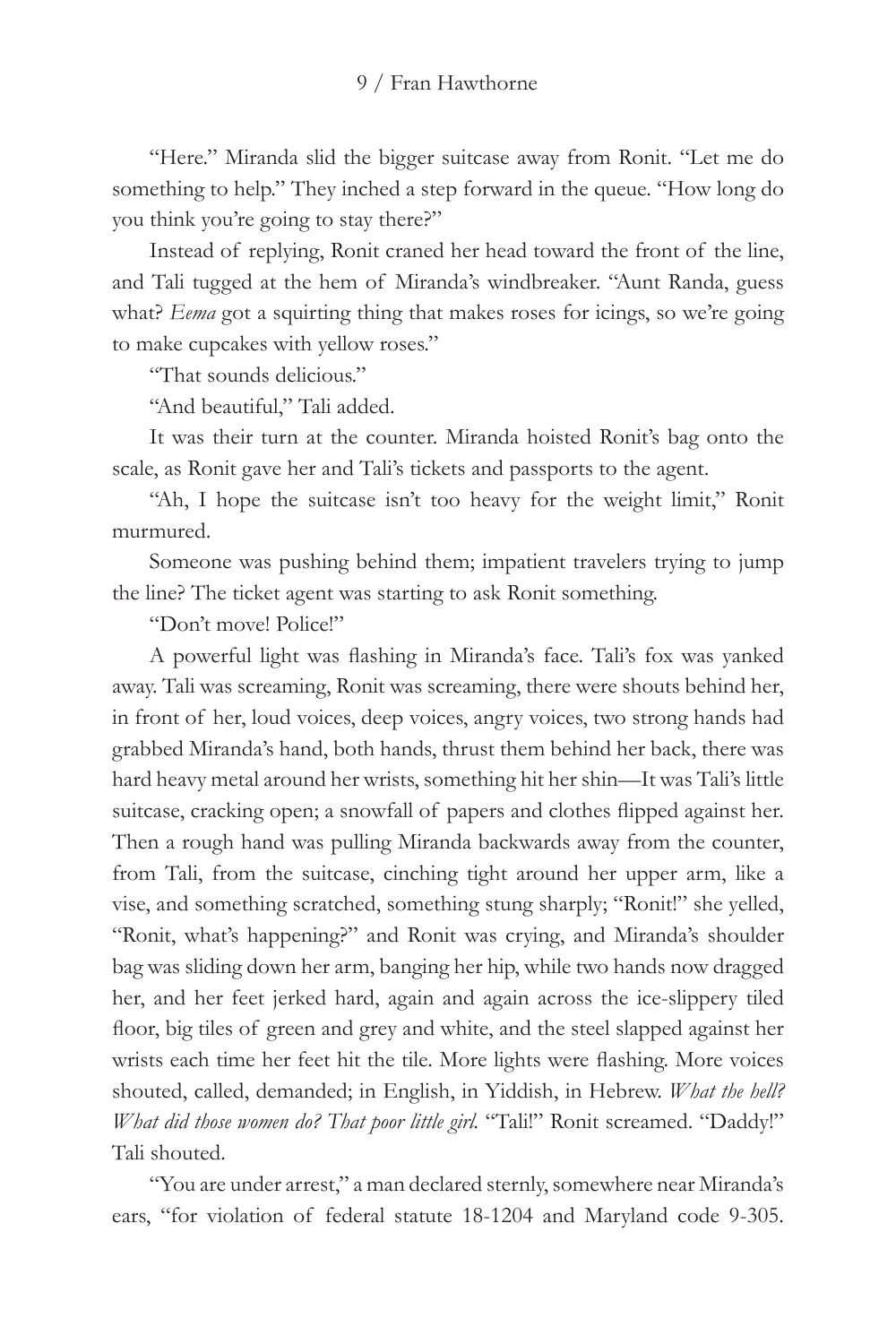## 9 / Fran Hawthorne

"Here." Miranda slid the bigger suitcase away from Ronit. "Let me do something to help." They inched a step forward in the queue. "How long do you think you're going to stay there?"

Instead of replying, Ronit craned her head toward the front of the line, and Tali tugged at the hem of Miranda's windbreaker. "Aunt Randa, guess what? *Eema* got a squirting thing that makes roses for icings, so we're going to make cupcakes with yellow roses."

"That sounds delicious."

"And beautiful," Tali added.

It was their turn at the counter. Miranda hoisted Ronit's bag onto the scale, as Ronit gave her and Tali's tickets and passports to the agent.

"Ah, I hope the suitcase isn't too heavy for the weight limit," Ronit murmured.

Someone was pushing behind them; impatient travelers trying to jump the line? The ticket agent was starting to ask Ronit something.

"Don't move! Police!"

A powerful light was flashing in Miranda's face. Tali's fox was yanked away. Tali was screaming, Ronit was screaming, there were shouts behind her, in front of her, loud voices, deep voices, angry voices, two strong hands had grabbed Miranda's hand, both hands, thrust them behind her back, there was hard heavy metal around her wrists, something hit her shin—It was Tali's little suitcase, cracking open; a snowfall of papers and clothes flipped against her. Then a rough hand was pulling Miranda backwards away from the counter, from Tali, from the suitcase, cinching tight around her upper arm, like a vise, and something scratched, something stung sharply; "Ronit!" she yelled, "Ronit, what's happening?" and Ronit was crying, and Miranda's shoulder bag was sliding down her arm, banging her hip, while two hands now dragged her, and her feet jerked hard, again and again across the ice-slippery tiled floor, big tiles of green and grey and white, and the steel slapped against her wrists each time her feet hit the tile. More lights were flashing. More voices shouted, called, demanded; in English, in Yiddish, in Hebrew. *What the hell? What did those women do? That poor little girl.* "Tali!" Ronit screamed. "Daddy!" Tali shouted.

"You are under arrest," a man declared sternly, somewhere near Miranda's ears, "for violation of federal statute 18-1204 and Maryland code 9-305.